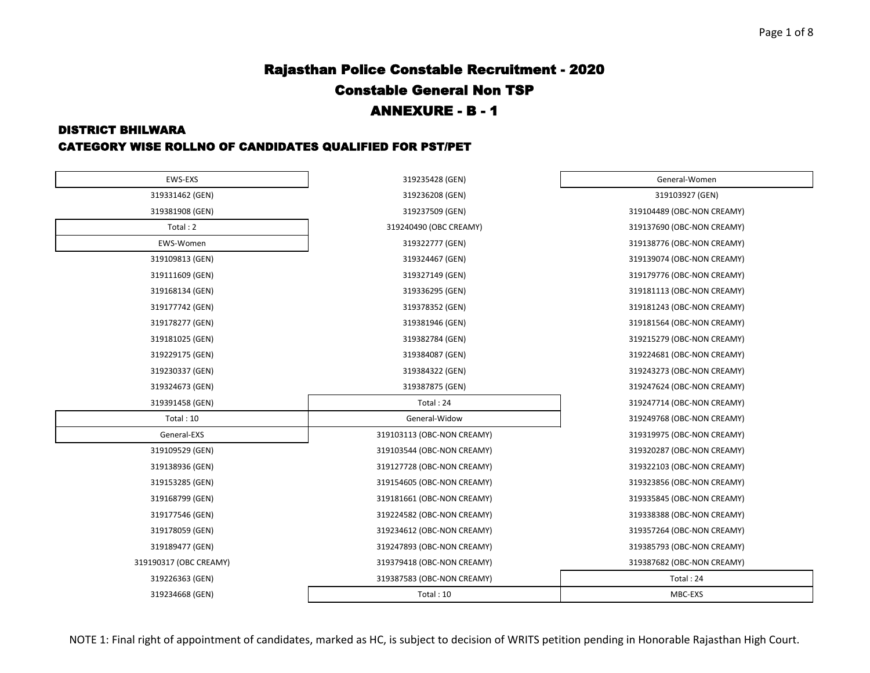#### DISTRICT BHILWARA

#### CATEGORY WISE ROLLNO OF CANDIDATES QUALIFIED FOR PST/PET

| EWS-EXS                | 319235428 (GEN)            | General-Women              |
|------------------------|----------------------------|----------------------------|
| 319331462 (GEN)        | 319236208 (GEN)            | 319103927 (GEN)            |
| 319381908 (GEN)        | 319237509 (GEN)            | 319104489 (OBC-NON CREAMY) |
| Total: 2               | 319240490 (OBC CREAMY)     | 319137690 (OBC-NON CREAMY) |
| EWS-Women              | 319322777 (GEN)            | 319138776 (OBC-NON CREAMY) |
| 319109813 (GEN)        | 319324467 (GEN)            | 319139074 (OBC-NON CREAMY) |
| 319111609 (GEN)        | 319327149 (GEN)            | 319179776 (OBC-NON CREAMY) |
| 319168134 (GEN)        | 319336295 (GEN)            | 319181113 (OBC-NON CREAMY) |
| 319177742 (GEN)        | 319378352 (GEN)            | 319181243 (OBC-NON CREAMY) |
| 319178277 (GEN)        | 319381946 (GEN)            | 319181564 (OBC-NON CREAMY) |
| 319181025 (GEN)        | 319382784 (GEN)            | 319215279 (OBC-NON CREAMY) |
| 319229175 (GEN)        | 319384087 (GEN)            | 319224681 (OBC-NON CREAMY) |
| 319230337 (GEN)        | 319384322 (GEN)            | 319243273 (OBC-NON CREAMY) |
| 319324673 (GEN)        | 319387875 (GEN)            | 319247624 (OBC-NON CREAMY) |
| 319391458 (GEN)        | Total: 24                  | 319247714 (OBC-NON CREAMY) |
| Total: 10              | General-Widow              | 319249768 (OBC-NON CREAMY) |
| General-EXS            | 319103113 (OBC-NON CREAMY) | 319319975 (OBC-NON CREAMY) |
| 319109529 (GEN)        | 319103544 (OBC-NON CREAMY) | 319320287 (OBC-NON CREAMY) |
| 319138936 (GEN)        | 319127728 (OBC-NON CREAMY) | 319322103 (OBC-NON CREAMY) |
| 319153285 (GEN)        | 319154605 (OBC-NON CREAMY) | 319323856 (OBC-NON CREAMY) |
| 319168799 (GEN)        | 319181661 (OBC-NON CREAMY) | 319335845 (OBC-NON CREAMY) |
| 319177546 (GEN)        | 319224582 (OBC-NON CREAMY) | 319338388 (OBC-NON CREAMY) |
| 319178059 (GEN)        | 319234612 (OBC-NON CREAMY) | 319357264 (OBC-NON CREAMY) |
| 319189477 (GEN)        | 319247893 (OBC-NON CREAMY) | 319385793 (OBC-NON CREAMY) |
| 319190317 (OBC CREAMY) | 319379418 (OBC-NON CREAMY) | 319387682 (OBC-NON CREAMY) |
| 319226363 (GEN)        | 319387583 (OBC-NON CREAMY) | Total: 24                  |
| 319234668 (GEN)        | Total: 10                  | MBC-EXS                    |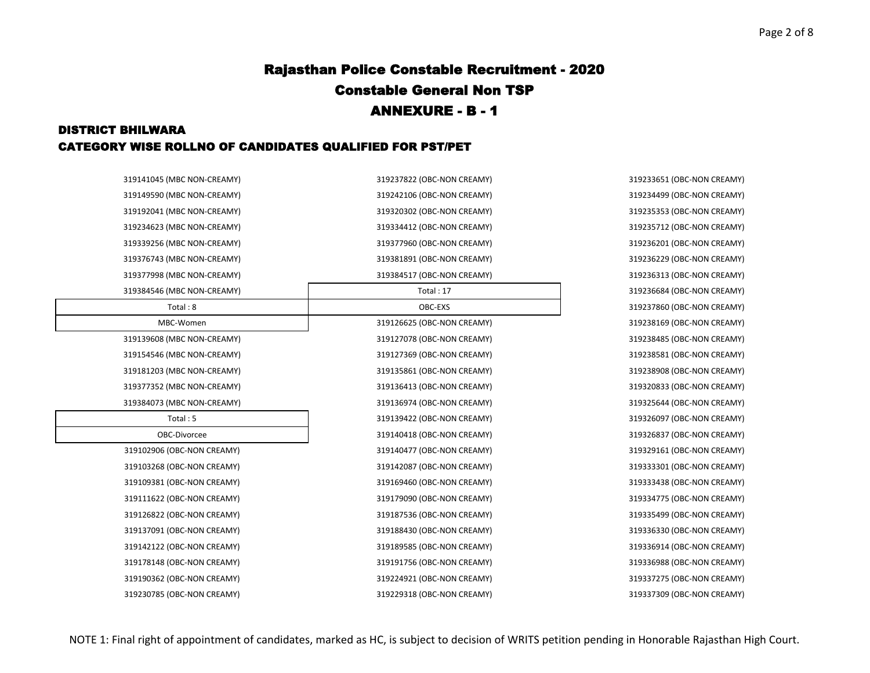#### DISTRICT BHILWARA CATEGORY WISE ROLLNO OF CANDIDATES QUALIFIED FOR PST/PET

| 319141045 (IVIBC NON-CREAIVIT) | 319237822 (OBC-NON CREAMIT) | 319233051 (UBC-NUN CREAMIY) |
|--------------------------------|-----------------------------|-----------------------------|
| 319149590 (MBC NON-CREAMY)     | 319242106 (OBC-NON CREAMY)  | 319234499 (OBC-NON CREAMY)  |
| 319192041 (MBC NON-CREAMY)     | 319320302 (OBC-NON CREAMY)  | 319235353 (OBC-NON CREAMY)  |
| 319234623 (MBC NON-CREAMY)     | 319334412 (OBC-NON CREAMY)  | 319235712 (OBC-NON CREAMY)  |
| 319339256 (MBC NON-CREAMY)     | 319377960 (OBC-NON CREAMY)  | 319236201 (OBC-NON CREAMY)  |
| 319376743 (MBC NON-CREAMY)     | 319381891 (OBC-NON CREAMY)  | 319236229 (OBC-NON CREAMY)  |
| 319377998 (MBC NON-CREAMY)     | 319384517 (OBC-NON CREAMY)  | 319236313 (OBC-NON CREAMY)  |
| 319384546 (MBC NON-CREAMY)     | Total: $17$                 | 319236684 (OBC-NON CREAMY)  |
| Total: 8                       | OBC-EXS                     | 319237860 (OBC-NON CREAMY)  |
| MBC-Women                      | 319126625 (OBC-NON CREAMY)  | 319238169 (OBC-NON CREAMY)  |
| 319139608 (MBC NON-CREAMY)     | 319127078 (OBC-NON CREAMY)  | 319238485 (OBC-NON CREAMY)  |
| 319154546 (MBC NON-CREAMY)     | 319127369 (OBC-NON CREAMY)  | 319238581 (OBC-NON CREAMY)  |
| 319181203 (MBC NON-CREAMY)     | 319135861 (OBC-NON CREAMY)  | 319238908 (OBC-NON CREAMY)  |
| 319377352 (MBC NON-CREAMY)     | 319136413 (OBC-NON CREAMY)  | 319320833 (OBC-NON CREAMY)  |
| 319384073 (MBC NON-CREAMY)     | 319136974 (OBC-NON CREAMY)  | 319325644 (OBC-NON CREAMY)  |
| Total: 5                       | 319139422 (OBC-NON CREAMY)  | 319326097 (OBC-NON CREAMY)  |
| OBC-Divorcee                   | 319140418 (OBC-NON CREAMY)  | 319326837 (OBC-NON CREAMY)  |
| 319102906 (OBC-NON CREAMY)     | 319140477 (OBC-NON CREAMY)  | 319329161 (OBC-NON CREAMY)  |
| 319103268 (OBC-NON CREAMY)     | 319142087 (OBC-NON CREAMY)  | 319333301 (OBC-NON CREAMY)  |
| 319109381 (OBC-NON CREAMY)     | 319169460 (OBC-NON CREAMY)  | 319333438 (OBC-NON CREAMY)  |
| 319111622 (OBC-NON CREAMY)     | 319179090 (OBC-NON CREAMY)  | 319334775 (OBC-NON CREAMY)  |
| 319126822 (OBC-NON CREAMY)     | 319187536 (OBC-NON CREAMY)  | 319335499 (OBC-NON CREAMY)  |
| 319137091 (OBC-NON CREAMY)     | 319188430 (OBC-NON CREAMY)  | 319336330 (OBC-NON CREAMY)  |
| 319142122 (OBC-NON CREAMY)     | 319189585 (OBC-NON CREAMY)  | 319336914 (OBC-NON CREAMY)  |
| 319178148 (OBC-NON CREAMY)     | 319191756 (OBC-NON CREAMY)  | 319336988 (OBC-NON CREAMY)  |
| 319190362 (OBC-NON CREAMY)     | 319224921 (OBC-NON CREAMY)  | 319337275 (OBC-NON CREAMY)  |
| 319230785 (OBC-NON CREAMY)     | 319229318 (OBC-NON CREAMY)  | 319337309 (OBC-NON CREAMY)  |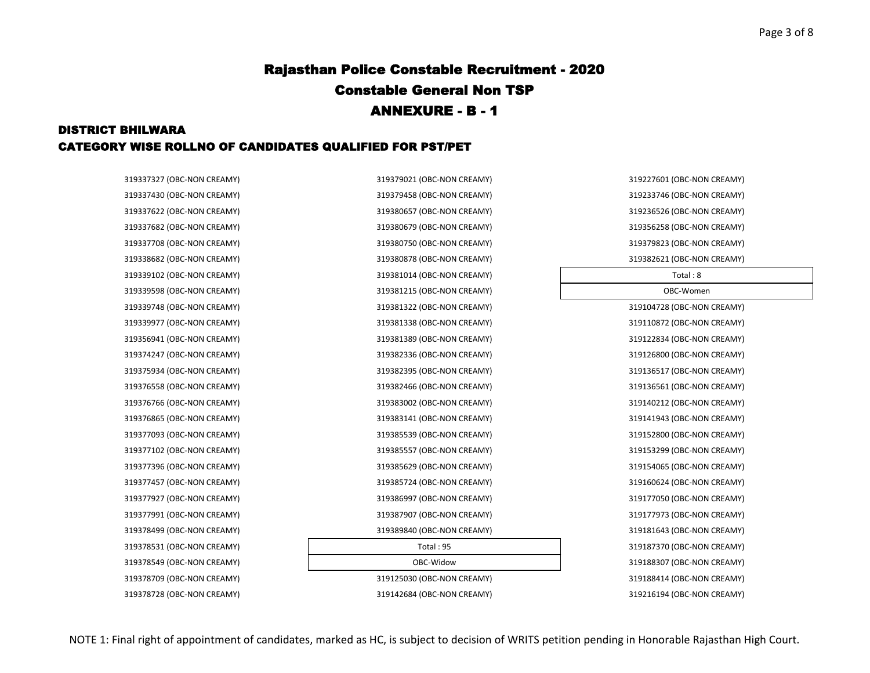### DISTRICT BHILWARA CATEGORY WISE ROLLNO OF CANDIDATES QUALIFIED FOR PST/PET

319378728 (OBC-NON CREAMY) 319142684 (OBC-NON CREAMY) 319216194 (OBC-NON CREAMY)

319337327 (OBC-NON CREAMY) 319379021 (OBC-NON CREAMY) 319227601 (OBC-NON CREAMY) 319337430 (OBC-NON CREAMY) 319379458 (OBC-NON CREAMY) 319233746 (OBC-NON CREAMY) 319337622 (OBC-NON CREAMY) 319380657 (OBC-NON CREAMY) 319236526 (OBC-NON CREAMY) 319337682 (OBC-NON CREAMY) 319380679 (OBC-NON CREAMY) 319356258 (OBC-NON CREAMY) 319337708 (OBC-NON CREAMY) 319380750 (OBC-NON CREAMY) 319379823 (OBC-NON CREAMY) 319338682 (OBC-NON CREAMY) 319380878 (OBC-NON CREAMY) 319382621 (OBC-NON CREAMY) 319339102 (OBC-NON CREAMY) 319381014 (OBC-NON CREAMY) Total : 8 319339598 (OBC-NON CREAMY) 319381215 (OBC-NON CREAMY) OBC-Women 319339748 (OBC-NON CREAMY) 319381322 (OBC-NON CREAMY) 319104728 (OBC-NON CREAMY) 319339977 (OBC-NON CREAMY) 319381338 (OBC-NON CREAMY) 319110872 (OBC-NON CREAMY) 319356941 (OBC-NON CREAMY) 319381389 (OBC-NON CREAMY) 319122834 (OBC-NON CREAMY) 319374247 (OBC-NON CREAMY) 319382336 (OBC-NON CREAMY) 319126800 (OBC-NON CREAMY) 319375934 (OBC-NON CREAMY) 319382395 (OBC-NON CREAMY) 319136517 (OBC-NON CREAMY) 319376558 (OBC-NON CREAMY) 319382466 (OBC-NON CREAMY) 319136561 (OBC-NON CREAMY) 319376766 (OBC-NON CREAMY) 319383002 (OBC-NON CREAMY) 319140212 (OBC-NON CREAMY) 319376865 (OBC-NON CREAMY) 319383141 (OBC-NON CREAMY) 319141943 (OBC-NON CREAMY) 319377093 (OBC-NON CREAMY) 319385539 (OBC-NON CREAMY) 319152800 (OBC-NON CREAMY) 319377102 (OBC-NON CREAMY) 319385557 (OBC-NON CREAMY) 319153299 (OBC-NON CREAMY) 319377396 (OBC-NON CREAMY) 319385629 (OBC-NON CREAMY) 319154065 (OBC-NON CREAMY) 319377457 (OBC-NON CREAMY) 319385724 (OBC-NON CREAMY) 319160624 (OBC-NON CREAMY) 319377927 (OBC-NON CREAMY) 319386997 (OBC-NON CREAMY) 319177050 (OBC-NON CREAMY) 319377991 (OBC-NON CREAMY) 319387907 (OBC-NON CREAMY) 319177973 (OBC-NON CREAMY) 319378499 (OBC-NON CREAMY) 319389840 (OBC-NON CREAMY) 319181643 (OBC-NON CREAMY) 319378531 (OBC-NON CREAMY) Total : 95 319187370 (OBC-NON CREAMY) 319378549 (OBC-NON CREAMY) OBC-Widow 319188307 (OBC-NON CREAMY) 319378709 (OBC-NON CREAMY) 319125030 (OBC-NON CREAMY) 319188414 (OBC-NON CREAMY)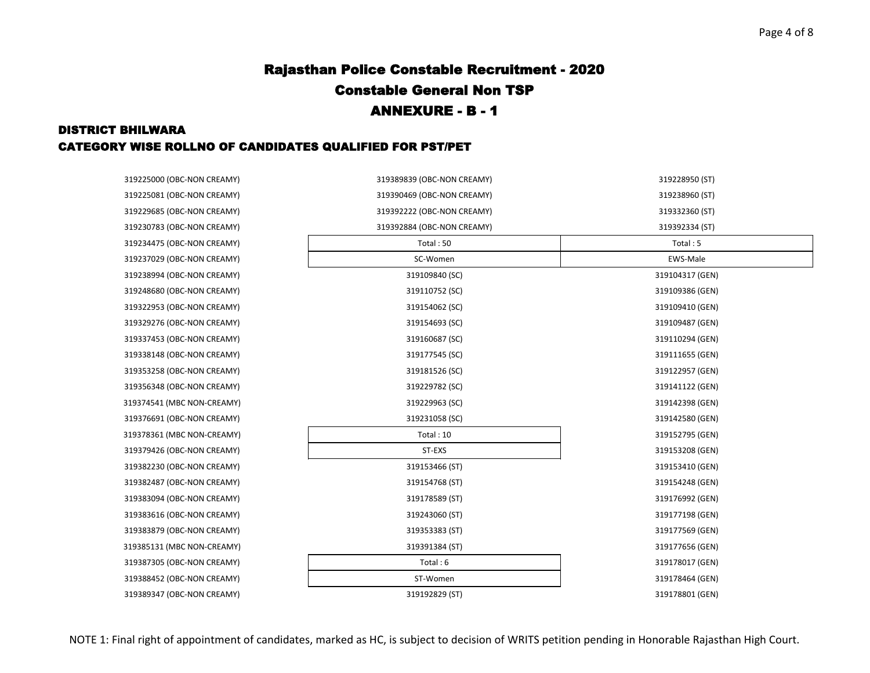### DISTRICT BHILWARA CATEGORY WISE ROLLNO OF CANDIDATES QUALIFIED FOR PST/PET

| 319225000 (OBC-NON CREAMY) | 319389839 (OBC-NON CREAMY) | 319228950 (ST)  |
|----------------------------|----------------------------|-----------------|
| 319225081 (OBC-NON CREAMY) | 319390469 (OBC-NON CREAMY) | 319238960 (ST)  |
| 319229685 (OBC-NON CREAMY) | 319392222 (OBC-NON CREAMY) | 319332360 (ST)  |
| 319230783 (OBC-NON CREAMY) | 319392884 (OBC-NON CREAMY) | 319392334 (ST)  |
| 319234475 (OBC-NON CREAMY) | Total: 50                  | Total: 5        |
| 319237029 (OBC-NON CREAMY) | SC-Women                   | EWS-Male        |
| 319238994 (OBC-NON CREAMY) | 319109840 (SC)             | 319104317 (GEN) |
| 319248680 (OBC-NON CREAMY) | 319110752 (SC)             | 319109386 (GEN) |
| 319322953 (OBC-NON CREAMY) | 319154062 (SC)             | 319109410 (GEN) |
| 319329276 (OBC-NON CREAMY) | 319154693 (SC)             | 319109487 (GEN) |
| 319337453 (OBC-NON CREAMY) | 319160687 (SC)             | 319110294 (GEN) |
| 319338148 (OBC-NON CREAMY) | 319177545 (SC)             | 319111655 (GEN) |
| 319353258 (OBC-NON CREAMY) | 319181526 (SC)             | 319122957 (GEN) |
| 319356348 (OBC-NON CREAMY) | 319229782 (SC)             | 319141122 (GEN) |
| 319374541 (MBC NON-CREAMY) | 319229963 (SC)             | 319142398 (GEN) |
| 319376691 (OBC-NON CREAMY) | 319231058 (SC)             | 319142580 (GEN) |
| 319378361 (MBC NON-CREAMY) | Total: 10                  | 319152795 (GEN) |
| 319379426 (OBC-NON CREAMY) | ST-EXS                     | 319153208 (GEN) |
| 319382230 (OBC-NON CREAMY) | 319153466 (ST)             | 319153410 (GEN) |
| 319382487 (OBC-NON CREAMY) | 319154768 (ST)             | 319154248 (GEN) |
| 319383094 (OBC-NON CREAMY) | 319178589 (ST)             | 319176992 (GEN) |
| 319383616 (OBC-NON CREAMY) | 319243060 (ST)             | 319177198 (GEN) |
| 319383879 (OBC-NON CREAMY) | 319353383 (ST)             | 319177569 (GEN) |
| 319385131 (MBC NON-CREAMY) | 319391384 (ST)             | 319177656 (GEN) |
| 319387305 (OBC-NON CREAMY) | Total: 6                   | 319178017 (GEN) |
| 319388452 (OBC-NON CREAMY) | ST-Women                   | 319178464 (GEN) |
| 319389347 (OBC-NON CREAMY) | 319192829 (ST)             | 319178801 (GEN) |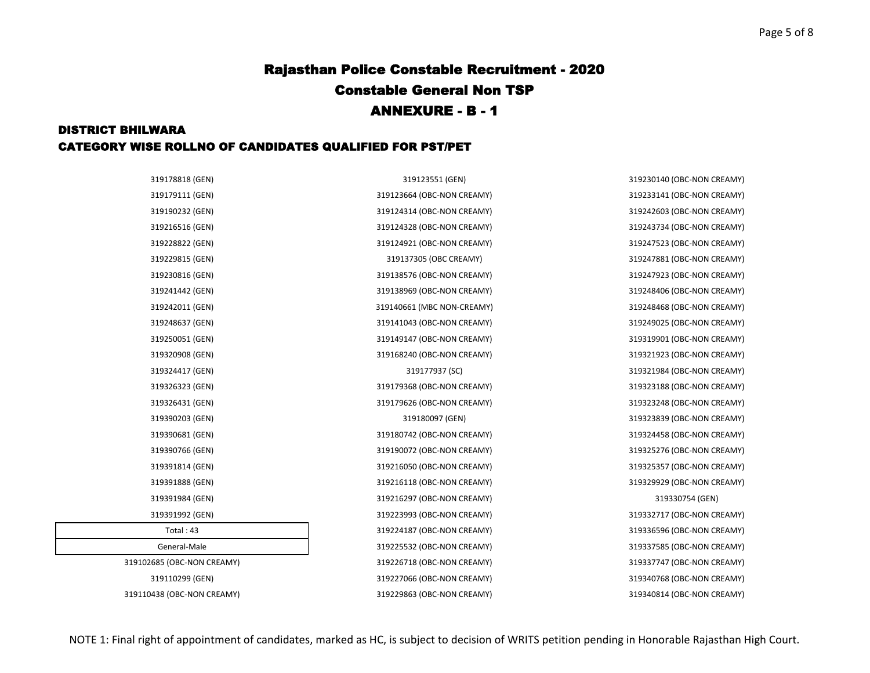#### DISTRICT BHILWARA CATEGORY WISE ROLLNO OF CANDIDATES QUALIFIED FOR PST/PET

| 319178818 (GEN)            | 319123551 (GEN)            | 319230140 (OBC-NON CREAMY) |
|----------------------------|----------------------------|----------------------------|
| 319179111 (GEN)            | 319123664 (OBC-NON CREAMY) | 319233141 (OBC-NON CREAMY) |
| 319190232 (GEN)            | 319124314 (OBC-NON CREAMY) | 319242603 (OBC-NON CREAMY) |
| 319216516 (GEN)            | 319124328 (OBC-NON CREAMY) | 319243734 (OBC-NON CREAMY) |
| 319228822 (GEN)            | 319124921 (OBC-NON CREAMY) | 319247523 (OBC-NON CREAMY) |
| 319229815 (GEN)            | 319137305 (OBC CREAMY)     | 319247881 (OBC-NON CREAMY) |
| 319230816 (GEN)            | 319138576 (OBC-NON CREAMY) | 319247923 (OBC-NON CREAMY) |
| 319241442 (GEN)            | 319138969 (OBC-NON CREAMY) | 319248406 (OBC-NON CREAMY) |
| 319242011 (GEN)            | 319140661 (MBC NON-CREAMY) | 319248468 (OBC-NON CREAMY) |
| 319248637 (GEN)            | 319141043 (OBC-NON CREAMY) | 319249025 (OBC-NON CREAMY) |
| 319250051 (GEN)            | 319149147 (OBC-NON CREAMY) | 319319901 (OBC-NON CREAMY) |
| 319320908 (GEN)            | 319168240 (OBC-NON CREAMY) | 319321923 (OBC-NON CREAMY) |
| 319324417 (GEN)            | 319177937 (SC)             | 319321984 (OBC-NON CREAMY) |
| 319326323 (GEN)            | 319179368 (OBC-NON CREAMY) | 319323188 (OBC-NON CREAMY) |
| 319326431 (GEN)            | 319179626 (OBC-NON CREAMY) | 319323248 (OBC-NON CREAMY) |
| 319390203 (GEN)            | 319180097 (GEN)            | 319323839 (OBC-NON CREAMY) |
| 319390681 (GEN)            | 319180742 (OBC-NON CREAMY) | 319324458 (OBC-NON CREAMY) |
| 319390766 (GEN)            | 319190072 (OBC-NON CREAMY) | 319325276 (OBC-NON CREAMY) |
| 319391814 (GEN)            | 319216050 (OBC-NON CREAMY) | 319325357 (OBC-NON CREAMY) |
| 319391888 (GEN)            | 319216118 (OBC-NON CREAMY) | 319329929 (OBC-NON CREAMY) |
| 319391984 (GEN)            | 319216297 (OBC-NON CREAMY) | 319330754 (GEN)            |
| 319391992 (GEN)            | 319223993 (OBC-NON CREAMY) | 319332717 (OBC-NON CREAMY) |
| Total: $43$                | 319224187 (OBC-NON CREAMY) | 319336596 (OBC-NON CREAMY) |
| General-Male               | 319225532 (OBC-NON CREAMY) | 319337585 (OBC-NON CREAMY) |
| 319102685 (OBC-NON CREAMY) | 319226718 (OBC-NON CREAMY) | 319337747 (OBC-NON CREAMY) |
| 319110299 (GEN)            | 319227066 (OBC-NON CREAMY) | 319340768 (OBC-NON CREAMY) |
| 319110438 (OBC-NON CREAMY) | 319229863 (OBC-NON CREAMY) | 319340814 (OBC-NON CREAMY) |
|                            |                            |                            |

NOTE 1: Final right of appointment of candidates, marked as HC, is subject to decision of WRITS petition pending in Honorable Rajasthan High Court.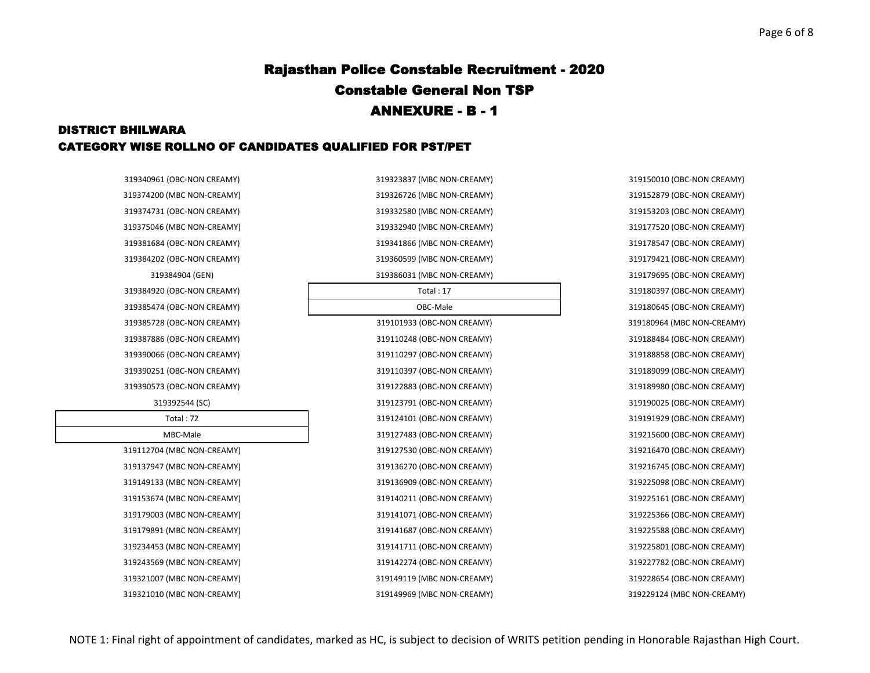### DISTRICT BHILWARA CATEGORY WISE ROLLNO OF CANDIDATES QUALIFIED FOR PST/PET

319340961 (OBC-NON CREAMY) 319323837 (MBC NON-CREAMY) 319150010 (OBC-NON CREAMY) 319374200 (MBC NON-CREAMY) 319326726 (MBC NON-CREAMY) 319152879 (OBC-NON CREAMY) 319374731 (OBC-NON CREAMY) 319332580 (MBC NON-CREAMY) 319153203 (OBC-NON CREAMY) 319375046 (MBC NON-CREAMY) 319332940 (MBC NON-CREAMY) 319177520 (OBC-NON CREAMY) 319381684 (OBC-NON CREAMY) 319341866 (MBC NON-CREAMY) 319178547 (OBC-NON CREAMY) 319384202 (OBC-NON CREAMY) 319360599 (MBC NON-CREAMY) 319179421 (OBC-NON CREAMY) 319384904 (GEN) 319386031 (MBC NON-CREAMY) 319179695 (OBC-NON CREAMY) 319384920 (OBC-NON CREAMY) Total : 17 319180397 (OBC-NON CREAMY) 319385474 (OBC-NON CREAMY) OBC-Male 319180645 (OBC-NON CREAMY) 319385728 (OBC-NON CREAMY) 319101933 (OBC-NON CREAMY) 319180964 (MBC NON-CREAMY) 319387886 (OBC-NON CREAMY) 319110248 (OBC-NON CREAMY) 319188484 (OBC-NON CREAMY) 319390066 (OBC-NON CREAMY) 319110297 (OBC-NON CREAMY) 319188858 (OBC-NON CREAMY) 319390251 (OBC-NON CREAMY) 319110397 (OBC-NON CREAMY) 319189099 (OBC-NON CREAMY) 319390573 (OBC-NON CREAMY) 319122883 (OBC-NON CREAMY) 319189980 (OBC-NON CREAMY) 319392544 (SC) 319123791 (OBC-NON CREAMY) 319190025 (OBC-NON CREAMY) Total : 72 319124101 (OBC-NON CREAMY) 319191929 (OBC-NON CREAMY) MBC-Male 319127483 (OBC-NON CREAMY) 319215600 (OBC-NON CREAMY) 319112704 (MBC NON-CREAMY) 319127530 (OBC-NON CREAMY) 319216470 (OBC-NON CREAMY) 319137947 (MBC NON-CREAMY) 319136270 (OBC-NON CREAMY) 319216745 (OBC-NON CREAMY) 319149133 (MBC NON-CREAMY) 319136909 (OBC-NON CREAMY) 319225098 (OBC-NON CREAMY) 319153674 (MBC NON-CREAMY) 319140211 (OBC-NON CREAMY) 319225161 (OBC-NON CREAMY) 319179003 (MBC NON-CREAMY) 319141071 (OBC-NON CREAMY) 319225366 (OBC-NON CREAMY) 319179891 (MBC NON-CREAMY) 319141687 (OBC-NON CREAMY) 319225588 (OBC-NON CREAMY) 319234453 (MBC NON-CREAMY) 319141711 (OBC-NON CREAMY) 319225801 (OBC-NON CREAMY) 319243569 (MBC NON-CREAMY) 319142274 (OBC-NON CREAMY) 319227782 (OBC-NON CREAMY) 319321007 (MBC NON-CREAMY) 319149119 (MBC NON-CREAMY) 319228654 (OBC-NON CREAMY) 319321010 (MBC NON-CREAMY) 319149969 (MBC NON-CREAMY) 319229124 (MBC NON-CREAMY)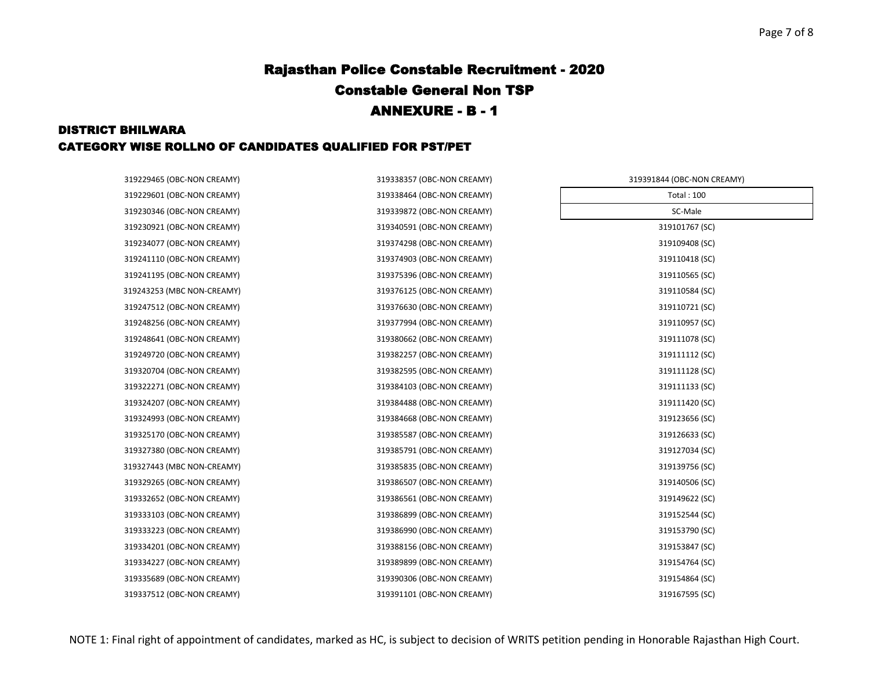### DISTRICT BHILWARA CATEGORY WISE ROLLNO OF CANDIDATES QUALIFIED FOR PST/PET

| 319229465 (OBC-NON CREAMY) | 319338357 (OBC-NON CREAMY) | 319391844 (OBC-NON CREAMY) |  |
|----------------------------|----------------------------|----------------------------|--|
| 319229601 (OBC-NON CREAMY) | 319338464 (OBC-NON CREAMY) | <b>Total: 100</b>          |  |
| 319230346 (OBC-NON CREAMY) | 319339872 (OBC-NON CREAMY) | SC-Male                    |  |
| 319230921 (OBC-NON CREAMY) | 319340591 (OBC-NON CREAMY) | 319101767 (SC)             |  |
| 319234077 (OBC-NON CREAMY) | 319374298 (OBC-NON CREAMY) | 319109408 (SC)             |  |
| 319241110 (OBC-NON CREAMY) | 319374903 (OBC-NON CREAMY) | 319110418 (SC)             |  |
| 319241195 (OBC-NON CREAMY) | 319375396 (OBC-NON CREAMY) | 319110565 (SC)             |  |
| 319243253 (MBC NON-CREAMY) | 319376125 (OBC-NON CREAMY) | 319110584 (SC)             |  |
| 319247512 (OBC-NON CREAMY) | 319376630 (OBC-NON CREAMY) | 319110721 (SC)             |  |
| 319248256 (OBC-NON CREAMY) | 319377994 (OBC-NON CREAMY) | 319110957 (SC)             |  |
| 319248641 (OBC-NON CREAMY) | 319380662 (OBC-NON CREAMY) | 319111078 (SC)             |  |
| 319249720 (OBC-NON CREAMY) | 319382257 (OBC-NON CREAMY) | 319111112 (SC)             |  |
| 319320704 (OBC-NON CREAMY) | 319382595 (OBC-NON CREAMY) | 319111128 (SC)             |  |
| 319322271 (OBC-NON CREAMY) | 319384103 (OBC-NON CREAMY) | 319111133 (SC)             |  |
| 319324207 (OBC-NON CREAMY) | 319384488 (OBC-NON CREAMY) | 319111420 (SC)             |  |
| 319324993 (OBC-NON CREAMY) | 319384668 (OBC-NON CREAMY) | 319123656 (SC)             |  |
| 319325170 (OBC-NON CREAMY) | 319385587 (OBC-NON CREAMY) | 319126633 (SC)             |  |
| 319327380 (OBC-NON CREAMY) | 319385791 (OBC-NON CREAMY) | 319127034 (SC)             |  |
| 319327443 (MBC NON-CREAMY) | 319385835 (OBC-NON CREAMY) | 319139756 (SC)             |  |
| 319329265 (OBC-NON CREAMY) | 319386507 (OBC-NON CREAMY) | 319140506 (SC)             |  |
| 319332652 (OBC-NON CREAMY) | 319386561 (OBC-NON CREAMY) | 319149622 (SC)             |  |
| 319333103 (OBC-NON CREAMY) | 319386899 (OBC-NON CREAMY) | 319152544 (SC)             |  |
| 319333223 (OBC-NON CREAMY) | 319386990 (OBC-NON CREAMY) | 319153790 (SC)             |  |
| 319334201 (OBC-NON CREAMY) | 319388156 (OBC-NON CREAMY) | 319153847 (SC)             |  |
| 319334227 (OBC-NON CREAMY) | 319389899 (OBC-NON CREAMY) | 319154764 (SC)             |  |
| 319335689 (OBC-NON CREAMY) | 319390306 (OBC-NON CREAMY) | 319154864 (SC)             |  |
| 319337512 (OBC-NON CREAMY) | 319391101 (OBC-NON CREAMY) | 319167595 (SC)             |  |